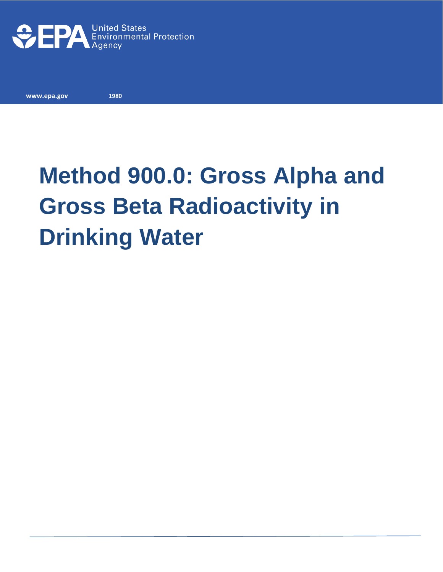

**www.epa.gov** 

**1980**

# **Method 900.0: Gross Alpha and Gross Beta Radioactivity in Drinking Water**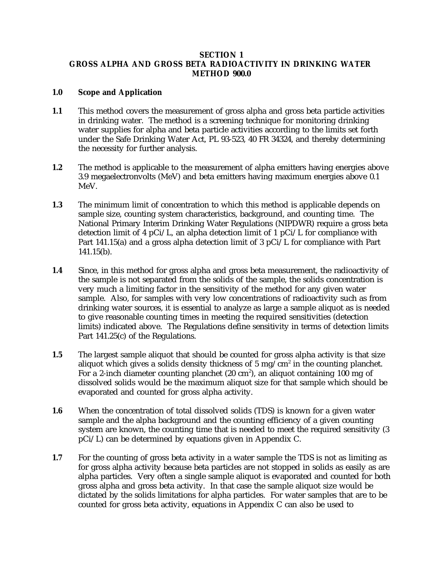## **SECTION 1 GROSS ALPHA AND GROSS BETA RADIOACTIVITY IN DRINKING WATER METHOD 900.0**

## **1.0 Scope and Application**

- **1.1** This method covers the measurement of gross alpha and gross beta particle activities in drinking water. The method is a screening technique for monitoring drinking water supplies for alpha and beta particle activities according to the limits set forth under the Safe Drinking Water Act, PL 93-523, 40 FR 34324, and thereby determining the necessity for further analysis.
- **1.2** The method is applicable to the measurement of alpha emitters having energies above 3.9 megaelectronvolts (MeV) and beta emitters having maximum energies above 0.1 MeV.
- **1.3** The minimum limit of concentration to which this method is applicable depends on sample size, counting system characteristics, background, and counting time. The National Primary Interim Drinking Water Regulations (NIPDWR) require a gross beta detection limit of 4 pCi/L, an alpha detection limit of 1 pCi/L for compliance with Part 141.15(a) and a gross alpha detection limit of 3 pCi/L for compliance with Part 141.15(b).
- **1.4** Since, in this method for gross alpha and gross beta measurement, the radioactivity of the sample is not separated from the solids of the sample, the solids concentration is very much a limiting factor in the sensitivity of the method for any given water sample. Also, for samples with very low concentrations of radioactivity such as from drinking water sources, it is essential to analyze as large a sample aliquot as is needed to give reasonable counting times in meeting the required sensitivities (detection limits) indicated above. The Regulations define sensitivity in terms of detection limits Part 141.25(c) of the Regulations.
- **1.5** The largest sample aliquot that should be counted for gross alpha activity is that size aliquot which gives a solids density thickness of 5 mg/cm<sup>2</sup> in the counting planchet. For a 2-inch diameter counting planchet (20 cm<sup>2</sup>), an aliquot containing 100 mg of dissolved solids would be the maximum aliquot size for that sample which should be evaporated and counted for gross alpha activity.
- **1.6** When the concentration of total dissolved solids (TDS) is known for a given water sample and the alpha background and the counting efficiency of a given counting system are known, the counting time that is needed to meet the required sensitivity (3 pCi/L) can be determined by equations given in Appendix C.
- **1.7** For the counting of gross beta activity in a water sample the TDS is not as limiting as for gross alpha activity because beta particles are not stopped in solids as easily as are alpha particles. Very often a single sample aliquot is evaporated and counted for both gross alpha and gross beta activity. In that case the sample aliquot size would be dictated by the solids limitations for alpha particles. For water samples that are to be counted for gross beta activity, equations in Appendix C can also be used to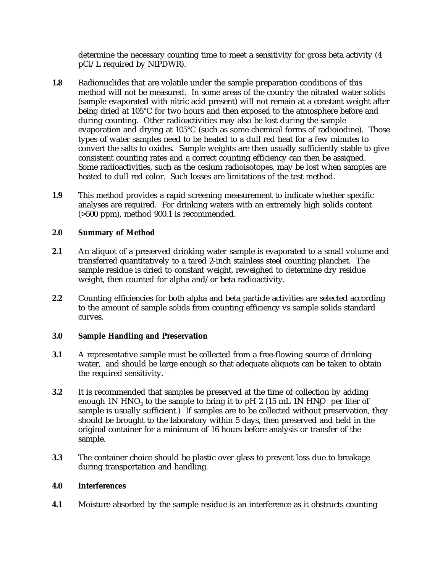determine the necessary counting time to meet a sensitivity for gross beta activity (4 pCi/L required by NIPDWR).

- **1.8** Radionuclides that are volatile under the sample preparation conditions of this method will not be measured. In some areas of the country the nitrated water solids (sample evaporated with nitric acid present) will not remain at a constant weight after being dried at 105°C for two hours and then exposed to the atmosphere before and during counting. Other radioactivities may also be lost during the sample evaporation and drying at 105°C (such as some chemical forms of radioiodine). Those types of water samples need to be heated to a dull red heat for a few minutes to convert the salts to oxides. Sample weights are then usually sufficiently stable to give consistent counting rates and a correct counting efficiency can then be assigned. Some radioactivities, such as the cesium radioisotopes, may be lost when samples are heated to dull red color. Such losses are limitations of the test method.
- **1.9** This method provides a rapid screening measurement to indicate whether specific analyses are required. For drinking waters with an extremely high solids content (>500 ppm), method 900.1 is recommended.

# **2.0 Summary of Method**

- **2.1** An aliquot of a preserved drinking water sample is evaporated to a small volume and transferred quantitatively to a tared 2-inch stainless steel counting planchet. The sample residue is dried to constant weight, reweighed to determine dry residue weight, then counted for alpha and/or beta radioactivity.
- **2.2** Counting efficiencies for both alpha and beta particle activities are selected according to the amount of sample solids from counting efficiency vs sample solids standard curves.

#### **3.0 Sample Handling and Preservation**

- **3.1** A representative sample must be collected from a free-flowing source of drinking water, and should be large enough so that adequate aliquots can be taken to obtain the required sensitivity.
- **3.2** It is recommended that samples be preserved at the time of collection by adding enough 1N HNO<sub>3</sub> to the sample to bring it to pH 2 (15 mL 1N HNO per liter of sample is usually sufficient.) If samples are to be collected without preservation, they should be brought to the laboratory within 5 days, then preserved and held in the original container for a minimum of 16 hours before analysis or transfer of the sample.
- **3.3** The container choice should be plastic over glass to prevent loss due to breakage during transportation and handling.

#### **4.0 Interferences**

**4.1** Moisture absorbed by the sample residue is an interference as it obstructs counting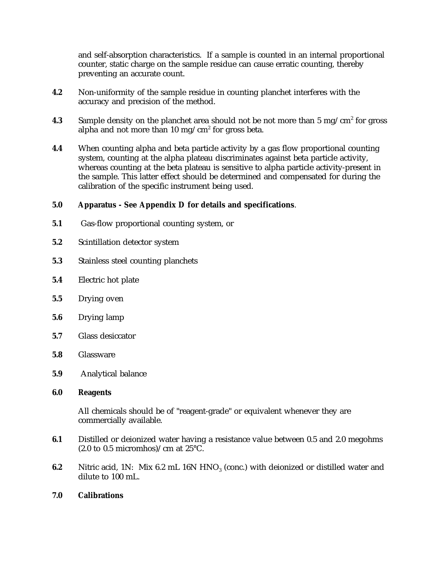and self-absorption characteristics. If a sample is counted in an internal proportional counter, static charge on the sample residue can cause erratic counting, thereby preventing an accurate count.

- **4.2** Non-uniformity of the sample residue in counting planchet interferes with the accuracy and precision of the method.
- **4.3** Sample density on the planchet area should not be not more than 5 mg/cm<sup>2</sup> for gross alpha and not more than 10 mg/cm<sup>2</sup> for gross beta.
- **4.4** When counting alpha and beta particle activity by a gas flow proportional counting system, counting at the alpha plateau discriminates against beta particle activity, whereas counting at the beta plateau is sensitive to alpha particle activity-present in the sample. This latter effect should be determined and compensated for during the calibration of the specific instrument being used.

# **5.0 Apparatus - See Appendix D for details and specifications**.

- **5.1** Gas-flow proportional counting system, or
- **5.2** Scintillation detector system
- **5.3** Stainless steel counting planchets
- **5.4** Electric hot plate
- **5.5** Drying oven
- **5.6** Drying lamp
- $5.7$ **5.7** Glass desiccator
- **5.8** Glassware
- **5.9** Analytical balance
- **6.0 Reagents**

All chemicals should be of "reagent-grade" or equivalent whenever they are commercially available.

- **6.1** Distilled or deionized water having a resistance value between 0.5 and 2.0 megohms  $(2.0 \text{ to } 0.5 \text{ micromhos})$ /cm at 25°C.
- **6.2** Nitric acid, 1N: Mix 6.2 mL 16N HNO<sub>3</sub> (conc.) with deionized or distilled water and dilute to 100 mL.
- **7.0 Calibrations**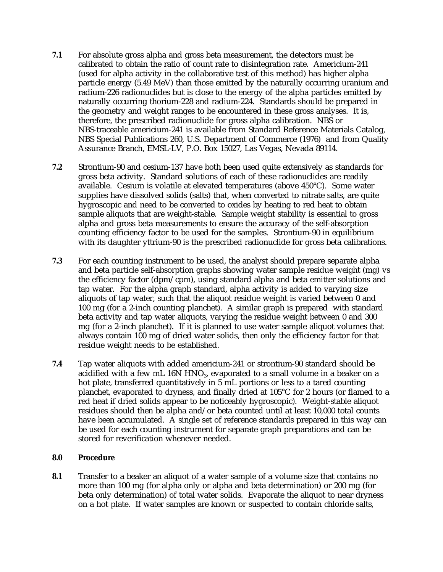- **7.1** For absolute gross alpha and gross beta measurement, the detectors must be calibrated to obtain the ratio of count rate to disintegration rate. Americium-241 (used for alpha activity in the collaborative test of this method) has higher alpha particle energy (5.49 MeV) than those emitted by the naturally occurring uranium and radium-226 radionuclides but is close to the energy of the alpha particles emitted by naturally occurring thorium-228 and radium-224. Standards should be prepared in the geometry and weight ranges to be encountered in these gross analyses. It is, therefore, the prescribed radionuclide for gross alpha calibration. NBS or NBS-traceable americium-241 is available from Standard Reference Materials Catalog, NBS Special Publications 260, U.S. Department of Commerce (1976) and from Quality Assurance Branch, EMSL-LV, P.O. Box 15027, Las Vegas, Nevada 89114.
- **7.2** Strontium-90 and cesium-137 have both been used quite extensively as standards for gross beta activity. Standard solutions of each of these radionuclides are readily available. Cesium is volatile at elevated temperatures (above 450°C). Some water supplies have dissolved solids (salts) that, when converted to nitrate salts, are quite hygroscopic and need to be converted to oxides by heating to red heat to obtain sample aliquots that are weight-stable. Sample weight stability is essential to gross alpha and gross beta measurements to ensure the accuracy of the self-absorption counting efficiency factor to be used for the samples. Strontium-90 in equilibrium with its daughter yttrium-90 is the prescribed radionuclide for gross beta calibrations.
- **7.3** For each counting instrument to be used, the analyst should prepare separate alpha and beta particle self-absorption graphs showing water sample residue weight (mg) vs the efficiency factor (dpm/cpm), using standard alpha and beta emitter solutions and tap water. For the alpha graph standard, alpha activity is added to varying size aliquots of tap water, such that the aliquot residue weight is varied between 0 and 100 mg (for a 2-inch counting planchet). A similar graph is prepared with standard beta activity and tap water aliquots, varying the residue weight between 0 and 300 mg (for a 2-inch planchet). If it is planned to use water sample aliquot volumes that always contain 100 mg of dried water solids, then only the efficiency factor for that residue weight needs to be established.
- **7.4** Tap water aliquots with added americium-241 or strontium-90 standard should be acidified with a few mL 16N  $HNO<sub>3</sub>$ , evaporated to a small volume in a beaker on a hot plate, transferred quantitatively in 5 mL portions or less to a tared counting planchet, evaporated to dryness, and finally dried at 105°C for 2 hours (or flamed to a red heat if dried solids appear to be noticeably hygroscopic). Weight-stable aliquot residues should then be alpha and/or beta counted until at least 10,000 total counts have been accumulated. A single set of reference standards prepared in this way can be used for each counting instrument for separate graph preparations and can be stored for reverification whenever needed.

#### **8.0 Procedure**

**8.1** Transfer to a beaker an aliquot of a water sample of a volume size that contains no more than 100 mg (for alpha only or alpha and beta determination) or 200 mg (for beta only determination) of total water solids. Evaporate the aliquot to near dryness on a hot plate. If water samples are known or suspected to contain chloride salts,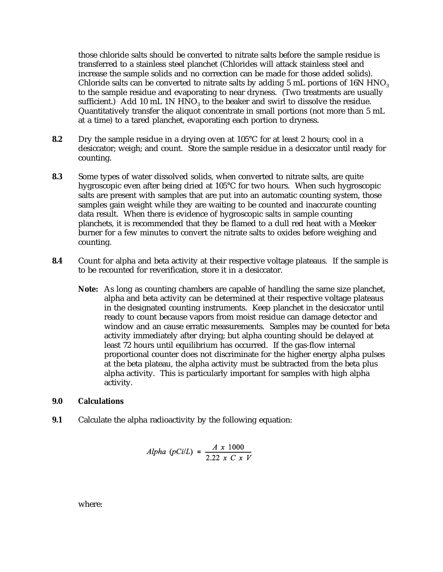those chloride salts should be converted to nitrate salts before the sample residue is transferred to a stainless steel planchet (Chlorides will attack stainless steel and increase the sample solids and no correction can be made for those added solids). Chloride salts can be converted to nitrate salts by adding 5 mL portions of 16N HNO<sub>3</sub> to the sample residue and evaporating to near dryness. (Two treatments are usually sufficient.) Add 10 mL 1N  $HNO<sub>3</sub>$  to the beaker and swirl to dissolve the residue. Quantitatively transfer the aliquot concentrate in small portions (not more than 5 mL at a time) to a tared planchet, evaporating each portion to dryness.

- **8.2** Dry the sample residue in a drying oven at 105°C for at least 2 hours; cool in a desiccator; weigh; and count. Store the sample residue in a desiccator until ready for counting.
- **8.3** Some types of water dissolved solids, when converted to nitrate salts, are quite hygroscopic even after being dried at 105°C for two hours. When such hygroscopic salts are present with samples that are put into an automatic counting system, those samples gain weight while they are waiting to be counted and inaccurate counting data result. When there is evidence of hygroscopic salts in sample counting planchets, it is recommended that they be flamed to a dull red heat with a Meeker burner for a few minutes to convert the nitrate salts to oxides before weighing and counting.
- **8.4** Count for alpha and beta activity at their respective voltage plateaus. If the sample is to be recounted for reverification, store it in a desiccator.
	- **Note:** As long as counting chambers are capable of handling the same size planchet, alpha and beta activity can be determined at their respective voltage plateaus in the designated counting instruments. Keep planchet in the desiccator until ready to count because vapors from moist residue can damage detector and window and an cause erratic measurements. Samples may be counted for beta activity immediately after drying; but alpha counting should be delayed at least 72 hours until equilibrium has occurred. If the gas-flow internal proportional counter does not discriminate for the higher energy alpha pulses at the beta plateau, the alpha activity must be subtracted from the beta plus alpha activity. This is particularly important for samples with high alpha activity.

#### **9.0 Calculations**

**9.1** Calculate the alpha radioactivity by the following equation:

Alpha 
$$
(pCilL) = \frac{A \times 1000}{2.22 \times C \times V}
$$

where: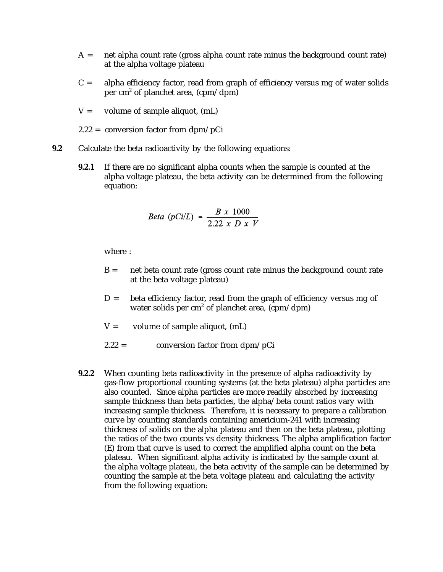- $A =$  net alpha count rate (gross alpha count rate minus the background count rate) at the alpha voltage plateau
- $C =$  alpha efficiency factor, read from graph of efficiency versus mg of water solids per cm<sup>2</sup> of planchet area, (cpm/dpm)
- $V =$  volume of sample aliquot,  $(mL)$
- 2.22 = conversion factor from dpm/pCi
- **9.2** Calculate the beta radioactivity by the following equations:
	- **9.2.1** If there are no significant alpha counts when the sample is counted at the alpha voltage plateau, the beta activity can be determined from the following equation:

Beta (pCi/L) = 
$$
\frac{B \times 1000}{2.22 \times D \times V}
$$

where :

- $B =$  net beta count rate (gross count rate minus the background count rate at the beta voltage plateau)
- $D =$  beta efficiency factor, read from the graph of efficiency versus mg of water solids per cm<sup>2</sup> of planchet area, (cpm/dpm)
- $V =$  volume of sample aliquot, (mL)
- $2.22 =$  conversion factor from dpm/pCi
- **9.2.2** When counting beta radioactivity in the presence of alpha radioactivity by gas-flow proportional counting systems (at the beta plateau) alpha particles are also counted. Since alpha particles are more readily absorbed by increasing sample thickness than beta particles, the alpha/beta count ratios vary with increasing sample thickness. Therefore, it is necessary to prepare a calibration curve by counting standards containing americium-241 with increasing thickness of solids on the alpha plateau and then on the beta plateau, plotting the ratios of the two counts vs density thickness. The alpha amplification factor (E) from that curve is used to correct the amplified alpha count on the beta plateau. When significant alpha activity is indicated by the sample count at the alpha voltage plateau, the beta activity of the sample can be determined by counting the sample at the beta voltage plateau and calculating the activity from the following equation: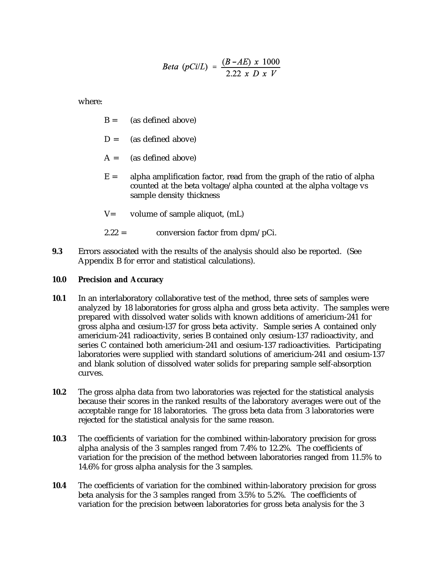Beta (pCi/L) = 
$$
\frac{(B - AE) \times 1000}{2.22 \times D \times V}
$$

where:

- $B =$  (as defined above)
- $D =$  (as defined above)
- $A =$  (as defined above)
- $E =$  alpha amplification factor, read from the graph of the ratio of alpha counted at the beta voltage/alpha counted at the alpha voltage vs sample density thickness
- $V=$  volume of sample aliquot,  $(mL)$
- $2.22 =$  conversion factor from dpm/pCi.
- **9.3** Errors associated with the results of the analysis should also be reported. (See Appendix B for error and statistical calculations).

#### **10.0 Precision and Accuracy**

- **10.1** In an interlaboratory collaborative test of the method, three sets of samples were analyzed by 18 laboratories for gross alpha and gross beta activity. The samples were prepared with dissolved water solids with known additions of americium-241 for gross alpha and cesium-l37 for gross beta activity. Sample series A contained only americium-241 radioactivity, series B contained only cesium-137 radioactivity, and series C contained both americium-241 and cesium-137 radioactivities. Participating laboratories were supplied with standard solutions of americium-241 and cesium-137 and blank solution of dissolved water solids for preparing sample self-absorption curves.
- **10.2** The gross alpha data from two laboratories was rejected for the statistical analysis because their scores in the ranked results of the laboratory averages were out of the acceptable range for 18 laboratories. The gross beta data from 3 laboratories were rejected for the statistical analysis for the same reason.
- **10.3** The coefficients of variation for the combined within-laboratory precision for gross alpha analysis of the 3 samples ranged from 7.4% to 12.2%. The coefficients of variation for the precision of the method between laboratories ranged from 11.5% to 14.6% for gross alpha analysis for the 3 samples.
- **10.4** The coefficients of variation for the combined within-laboratory precision for gross beta analysis for the 3 samples ranged from 3.5% to 5.2%. The coefficients of variation for the precision between laboratories for gross beta analysis for the 3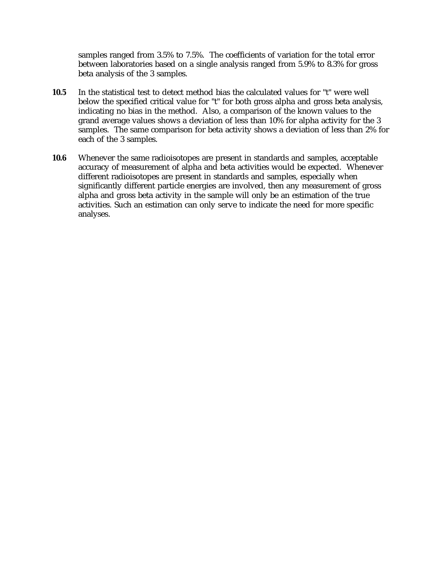samples ranged from 3.5% to 7.5%. The coefficients of variation for the total error between laboratories based on a single analysis ranged from 5.9% to 8.3% for gross beta analysis of the 3 samples.

- **10.5** In the statistical test to detect method bias the calculated values for "t" were well below the specified critical value for "t" for both gross alpha and gross beta analysis, indicating no bias in the method. Also, a comparison of the known values to the grand average values shows a deviation of less than 10% for alpha activity for the 3 samples. The same comparison for beta activity shows a deviation of less than 2% for each of the 3 samples.
- **10.6** Whenever the same radioisotopes are present in standards and samples, acceptable accuracy of measurement of alpha and beta activities would be expected. Whenever different radioisotopes are present in standards and samples, especially when significantly different particle energies are involved, then any measurement of gross alpha and gross beta activity in the sample will only be an estimation of the true activities. Such an estimation can only serve to indicate the need for more specific analyses.